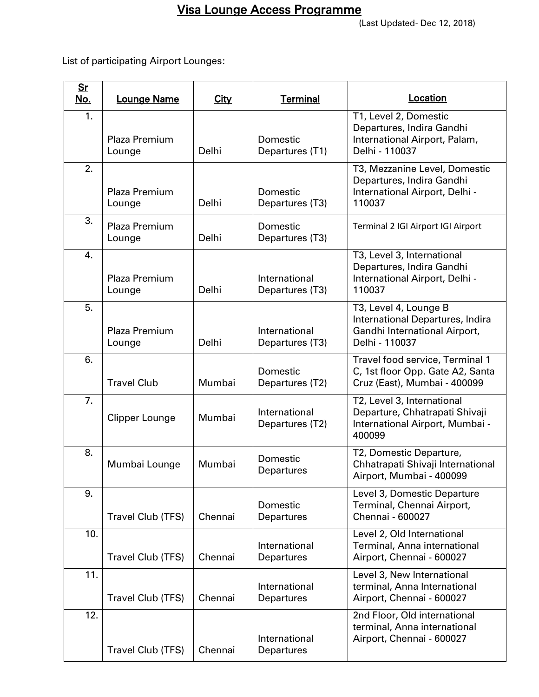## Visa Lounge Access Programme

(Last Updated- Dec 12, 2018)

List of participating Airport Lounges:

| Sr<br><u>No.</u> | <b>Lounge Name</b>      | <u>City</u> | <b>Terminal</b>                  | Location                                                                                                     |
|------------------|-------------------------|-------------|----------------------------------|--------------------------------------------------------------------------------------------------------------|
| 1.               | Plaza Premium<br>Lounge | Delhi       | Domestic<br>Departures (T1)      | T1, Level 2, Domestic<br>Departures, Indira Gandhi<br>International Airport, Palam,<br>Delhi - 110037        |
| 2.               | Plaza Premium<br>Lounge | Delhi       | Domestic<br>Departures (T3)      | T3, Mezzanine Level, Domestic<br>Departures, Indira Gandhi<br>International Airport, Delhi -<br>110037       |
| 3.               | Plaza Premium<br>Lounge | Delhi       | Domestic<br>Departures (T3)      | Terminal 2 IGI Airport IGI Airport                                                                           |
| 4.               | Plaza Premium<br>Lounge | Delhi       | International<br>Departures (T3) | T3, Level 3, International<br>Departures, Indira Gandhi<br>International Airport, Delhi -<br>110037          |
| 5.               | Plaza Premium<br>Lounge | Delhi       | International<br>Departures (T3) | T3, Level 4, Lounge B<br>International Departures, Indira<br>Gandhi International Airport,<br>Delhi - 110037 |
| 6.               | <b>Travel Club</b>      | Mumbai      | Domestic<br>Departures (T2)      | Travel food service, Terminal 1<br>C, 1st floor Opp. Gate A2, Santa<br>Cruz (East), Mumbai - 400099          |
| 7.               | <b>Clipper Lounge</b>   | Mumbai      | International<br>Departures (T2) | T2, Level 3, International<br>Departure, Chhatrapati Shivaji<br>International Airport, Mumbai -<br>400099    |
| 8.               | Mumbai Lounge           | Mumbai      | Domestic<br>Departures           | T2, Domestic Departure,<br>Chhatrapati Shivaji International<br>Airport, Mumbai - 400099                     |
| 9.               | Travel Club (TFS)       | Chennai     | Domestic<br>Departures           | Level 3, Domestic Departure<br>Terminal, Chennai Airport,<br>Chennai - 600027                                |
| 10.              | Travel Club (TFS)       | Chennai     | International<br>Departures      | Level 2, Old International<br>Terminal, Anna international<br>Airport, Chennai - 600027                      |
| 11.              | Travel Club (TFS)       | Chennai     | International<br>Departures      | Level 3, New International<br>terminal, Anna International<br>Airport, Chennai - 600027                      |
| 12.              | Travel Club (TFS)       | Chennai     | International<br>Departures      | 2nd Floor, Old international<br>terminal, Anna international<br>Airport, Chennai - 600027                    |